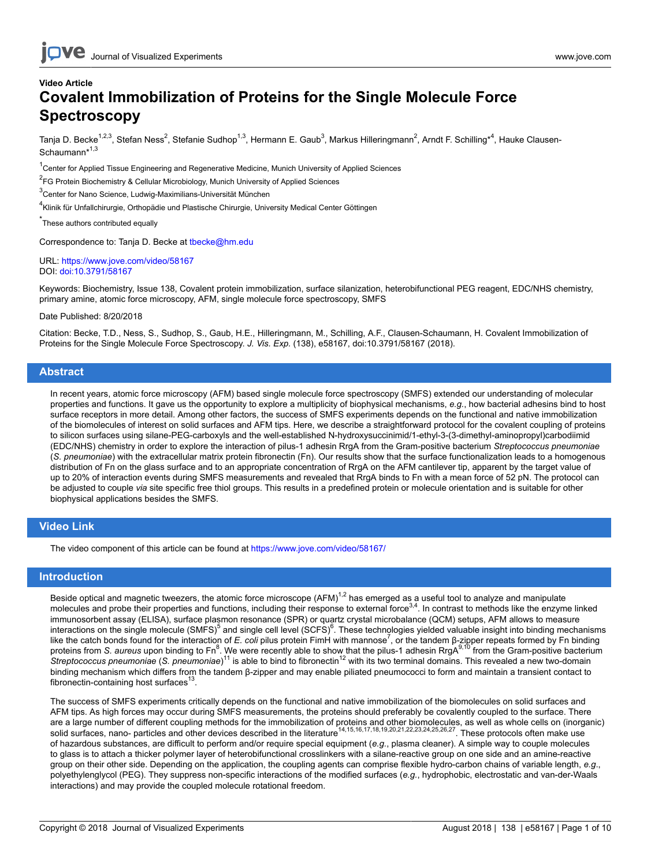# **Video Article Covalent Immobilization of Proteins for the Single Molecule Force Spectroscopy**

Tanja D. Becke<sup>1.2,3</sup>, Stefan Ness<sup>2</sup>, Stefanie Sudhop<sup>1,3</sup>, Hermann E. Gaub<sup>3</sup>, Markus Hilleringmann<sup>2</sup>, Arndt F. Schilling\*<sup>4</sup>, Hauke Clausen-Schaumann<sup>\*1,3</sup>

<sup>1</sup>Center for Applied Tissue Engineering and Regenerative Medicine, Munich University of Applied Sciences

<sup>2</sup>FG Protein Biochemistry & Cellular Microbiology, Munich University of Applied Sciences

<sup>3</sup>Center for Nano Science, Ludwig-Maximilians-Universität München

4 Klinik für Unfallchirurgie, Orthopädie und Plastische Chirurgie, University Medical Center Göttingen

\* These authors contributed equally

Correspondence to: Tanja D. Becke at [tbecke@hm.edu](mailto:tbecke@hm.edu)

URL:<https://www.jove.com/video/58167> DOI: [doi:10.3791/58167](http://dx.doi.org/10.3791/58167)

Keywords: Biochemistry, Issue 138, Covalent protein immobilization, surface silanization, heterobifunctional PEG reagent, EDC/NHS chemistry, primary amine, atomic force microscopy, AFM, single molecule force spectroscopy, SMFS

Date Published: 8/20/2018

Citation: Becke, T.D., Ness, S., Sudhop, S., Gaub, H.E., Hilleringmann, M., Schilling, A.F., Clausen-Schaumann, H. Covalent Immobilization of Proteins for the Single Molecule Force Spectroscopy. *J. Vis. Exp.* (138), e58167, doi:10.3791/58167 (2018).

#### **Abstract**

In recent years, atomic force microscopy (AFM) based single molecule force spectroscopy (SMFS) extended our understanding of molecular properties and functions. It gave us the opportunity to explore a multiplicity of biophysical mechanisms, *e.g.*, how bacterial adhesins bind to host surface receptors in more detail. Among other factors, the success of SMFS experiments depends on the functional and native immobilization of the biomolecules of interest on solid surfaces and AFM tips. Here, we describe a straightforward protocol for the covalent coupling of proteins to silicon surfaces using silane-PEG-carboxyls and the well-established N-hydroxysuccinimid/1-ethyl-3-(3-dimethyl-aminopropyl)carbodiimid (EDC/NHS) chemistry in order to explore the interaction of pilus-1 adhesin RrgA from the Gram-positive bacterium *Streptococcus pneumoniae* (*S. pneumoniae*) with the extracellular matrix protein fibronectin (Fn). Our results show that the surface functionalization leads to a homogenous distribution of Fn on the glass surface and to an appropriate concentration of RrgA on the AFM cantilever tip, apparent by the target value of up to 20% of interaction events during SMFS measurements and revealed that RrgA binds to Fn with a mean force of 52 pN. The protocol can be adjusted to couple *via* site specific free thiol groups. This results in a predefined protein or molecule orientation and is suitable for other biophysical applications besides the SMFS.

### **Video Link**

The video component of this article can be found at <https://www.jove.com/video/58167/>

### **Introduction**

Beside optical and magnetic tweezers, the atomic force microscope (AFM)<sup>1,2</sup> has emerged as a useful tool to analyze and manipulate molecules and probe their properties and functions, including their response to external force<sup>3,4</sup>. In contrast to methods like the enzyme linked immunosorbent assay (ELISA), surface plasmon resonance (SPR) or quartz crystal microbalance (QCM) setups, AFM allows to measure interactions on the single molecule (SMFS)<sup>5</sup> and single cell level (SCFS)<sup>6</sup>. These technologies yielded valuable insight into binding mechanisms like the catch bonds found for the interaction of *E. coli* pilus protein FimH with mannose<sup>7</sup>, or the tandem β-zipper repeats formed by Fn binding<br>proteins from S. aureus upon binding to Fn<sup>8</sup>. We were recently able to s Streptococcus pneumoniae (S. pneumoniae)<sup>11</sup> is able to bind to fibronectin<sup>12</sup> with its two terminal domains. This revealed a new two-domain binding mechanism which differs from the tandem β-zipper and may enable piliated pneumococci to form and maintain a transient contact to fibronectin-containing host surfaces<sup>13</sup> .

The success of SMFS experiments critically depends on the functional and native immobilization of the biomolecules on solid surfaces and AFM tips. As high forces may occur during SMFS measurements, the proteins should preferably be covalently coupled to the surface. There are a large number of different coupling methods for the immobilization of proteins and other biomolecules, as well as whole cells on (inorganic)<br>solid surfaces, nano- particles and other devices described in the literatur of hazardous substances, are difficult to perform and/or require special equipment (*e.g.*, plasma cleaner). A simple way to couple molecules to glass is to attach a thicker polymer layer of heterobifunctional crosslinkers with a silane-reactive group on one side and an amine-reactive group on their other side. Depending on the application, the coupling agents can comprise flexible hydro-carbon chains of variable length, *e.g*., polyethylenglycol (PEG). They suppress non-specific interactions of the modified surfaces (*e.g.*, hydrophobic, electrostatic and van-der-Waals interactions) and may provide the coupled molecule rotational freedom.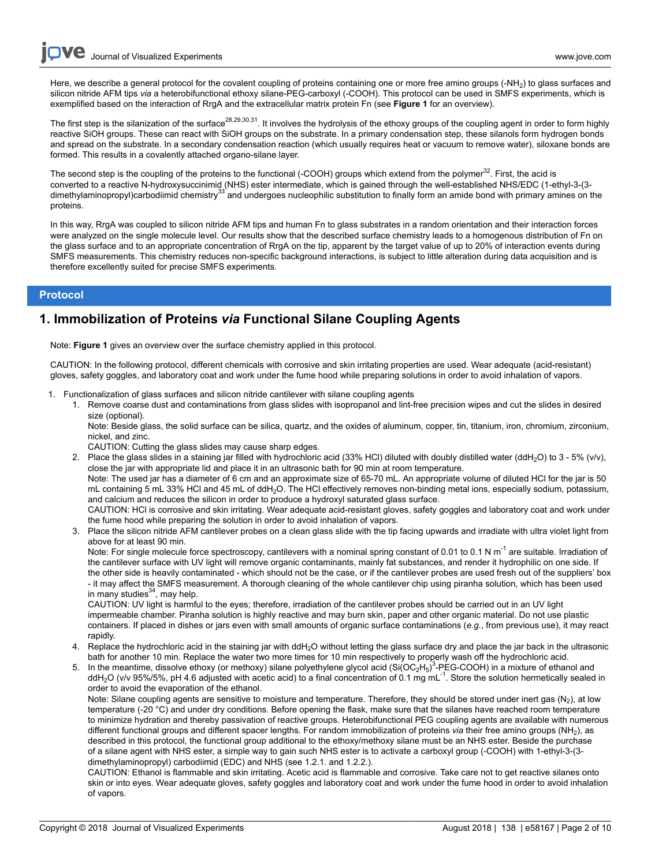Here, we describe a general protocol for the covalent coupling of proteins containing one or more free amino groups (-NH<sub>2</sub>) to glass surfaces and silicon nitride AFM tips *via* a heterobifunctional ethoxy silane-PEG-carboxyl (-COOH). This protocol can be used in SMFS experiments, which is exemplified based on the interaction of RrgA and the extracellular matrix protein Fn (see **Figure 1** for an overview).

The first step is the silanization of the surface<sup>28,29,30,31</sup>. It involves the hydrolysis of the ethoxy groups of the coupling agent in order to form highly reactive SiOH groups. These can react with SiOH groups on the substrate. In a primary condensation step, these silanols form hydrogen bonds and spread on the substrate. In a secondary condensation reaction (which usually requires heat or vacuum to remove water), siloxane bonds are formed. This results in a covalently attached organo-silane layer.

The second step is the coupling of the proteins to the functional (-COOH) groups which extend from the polymer<sup>32</sup>. First, the acid is converted to a reactive N-hydroxysuccinimid (NHS) ester intermediate, which is gained through the well-established NHS/EDC (1-ethyl-3-(3 dimethylaminopropyl)carbodiimid chemistry<sup>33</sup> and undergoes nucleophilic substitution to finally form an amide bond with primary amines on the proteins.

In this way, RrgA was coupled to silicon nitride AFM tips and human Fn to glass substrates in a random orientation and their interaction forces were analyzed on the single molecule level. Our results show that the described surface chemistry leads to a homogenous distribution of Fn on the glass surface and to an appropriate concentration of RrgA on the tip, apparent by the target value of up to 20% of interaction events during SMFS measurements. This chemistry reduces non-specific background interactions, is subject to little alteration during data acquisition and is therefore excellently suited for precise SMFS experiments.

## **Protocol**

# **1. Immobilization of Proteins** *via* **Functional Silane Coupling Agents**

Note: **Figure 1** gives an overview over the surface chemistry applied in this protocol.

CAUTION: In the following protocol, different chemicals with corrosive and skin irritating properties are used. Wear adequate (acid-resistant) gloves, safety goggles, and laboratory coat and work under the fume hood while preparing solutions in order to avoid inhalation of vapors.

- 1. Functionalization of glass surfaces and silicon nitride cantilever with silane coupling agents
	- 1. Remove coarse dust and contaminations from glass slides with isopropanol and lint-free precision wipes and cut the slides in desired size (optional).
		- Note: Beside glass, the solid surface can be silica, quartz, and the oxides of aluminum, copper, tin, titanium, iron, chromium, zirconium, nickel, and zinc.
		- CAUTION: Cutting the glass slides may cause sharp edges.
	- 2. Place the glass slides in a staining jar filled with hydrochloric acid (33% HCl) diluted with doubly distilled water (ddH2O) to 3 5% (v/v), close the jar with appropriate lid and place it in an ultrasonic bath for 90 min at room temperature.

Note: The used jar has a diameter of 6 cm and an approximate size of 65-70 mL. An appropriate volume of diluted HCl for the jar is 50 mL containing 5 mL 33% HCl and 45 mL of ddH<sub>2</sub>O. The HCl effectively removes non-binding metal ions, especially sodium, potassium, and calcium and reduces the silicon in order to produce a hydroxyl saturated glass surface.

CAUTION: HCl is corrosive and skin irritating. Wear adequate acid-resistant gloves, safety goggles and laboratory coat and work under the fume hood while preparing the solution in order to avoid inhalation of vapors.

3. Place the silicon nitride AFM cantilever probes on a clean glass slide with the tip facing upwards and irradiate with ultra violet light from above for at least 90 min.

Note: For single molecule force spectroscopy, cantilevers with a nominal spring constant of 0.01 to 0.1 N m<sup>-1</sup> are suitable. Irradiation of the cantilever surface with UV light will remove organic contaminants, mainly fat substances, and render it hydrophilic on one side. If the other side is heavily contaminated - which should not be the case, or if the cantilever probes are used fresh out of the suppliers' box - it may affect the SMFS measurement. A thorough cleaning of the whole cantilever chip using piranha solution, which has been used in many studies $34$ , may help.

CAUTION: UV light is harmful to the eyes; therefore, irradiation of the cantilever probes should be carried out in an UV light impermeable chamber. Piranha solution is highly reactive and may burn skin, paper and other organic material. Do not use plastic containers. If placed in dishes or jars even with small amounts of organic surface contaminations (*e.g.*, from previous use), it may react rapidly.

- 4. Replace the hydrochloric acid in the staining jar with ddH<sub>2</sub>O without letting the glass surface dry and place the jar back in the ultrasonic bath for another 10 min. Replace the water two more times for 10 min respectively to properly wash off the hydrochloric acid.
- 5. In the meantime, dissolve ethoxy (or methoxy) silane polyethylene glycol acid (Si(OC<sub>2</sub>H<sub>5</sub>)<sup>3</sup>-PEG-COOH) in a mixture of ethanol and ddH<sub>2</sub>O (v/v 95%/5%, pH 4.6 adjusted with acetic acid) to a final concentration of 0.1 mg mL<sup>-1</sup>. Store the solution hermetically sealed in order to avoid the evaporation of the ethanol.

Note: Silane coupling agents are sensitive to moisture and temperature. Therefore, they should be stored under inert gas (N<sub>2</sub>), at low temperature (-20 °C) and under dry conditions. Before opening the flask, make sure that the silanes have reached room temperature to minimize hydration and thereby passivation of reactive groups. Heterobifunctional PEG coupling agents are available with numerous different functional groups and different spacer lengths. For random immobilization of proteins *via* their free amino groups (NH2), as described in this protocol, the functional group additional to the ethoxy/methoxy silane must be an NHS ester. Beside the purchase of a silane agent with NHS ester, a simple way to gain such NHS ester is to activate a carboxyl group (-COOH) with 1-ethyl-3-(3 dimethylaminopropyl) carbodiimid (EDC) and NHS (see 1.2.1. and 1.2.2.).

CAUTION: Ethanol is flammable and skin irritating. Acetic acid is flammable and corrosive. Take care not to get reactive silanes onto skin or into eyes. Wear adequate gloves, safety goggles and laboratory coat and work under the fume hood in order to avoid inhalation of vapors.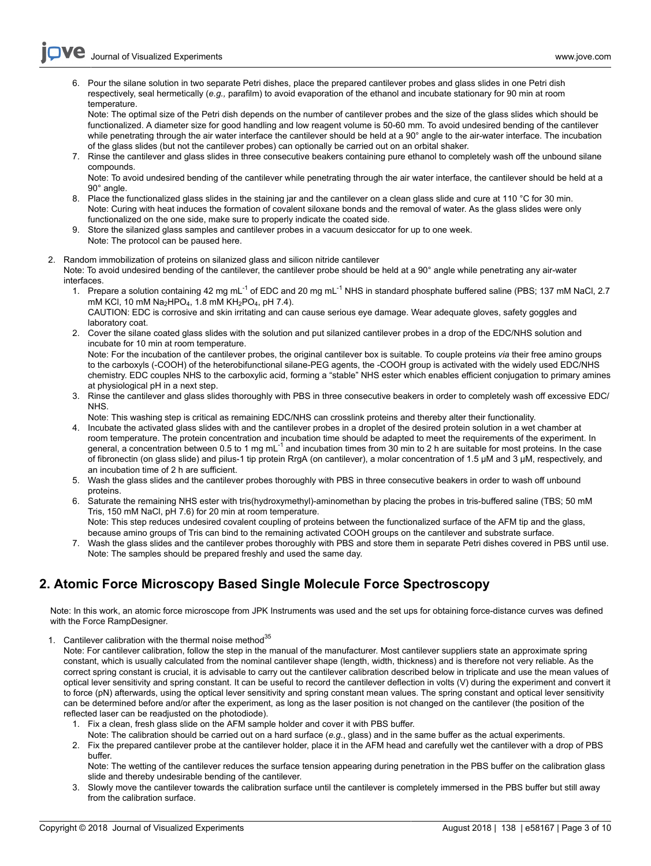6. Pour the silane solution in two separate Petri dishes, place the prepared cantilever probes and glass slides in one Petri dish respectively, seal hermetically (*e.g.,* parafilm) to avoid evaporation of the ethanol and incubate stationary for 90 min at room temperature.

Note: The optimal size of the Petri dish depends on the number of cantilever probes and the size of the glass slides which should be functionalized. A diameter size for good handling and low reagent volume is 50-60 mm. To avoid undesired bending of the cantilever while penetrating through the air water interface the cantilever should be held at a 90° angle to the air-water interface. The incubation of the glass slides (but not the cantilever probes) can optionally be carried out on an orbital shaker.

7. Rinse the cantilever and glass slides in three consecutive beakers containing pure ethanol to completely wash off the unbound silane compounds.

Note: To avoid undesired bending of the cantilever while penetrating through the air water interface, the cantilever should be held at a 90° angle.

- 8. Place the functionalized glass slides in the staining jar and the cantilever on a clean glass slide and cure at 110 °C for 30 min. Note: Curing with heat induces the formation of covalent siloxane bonds and the removal of water. As the glass slides were only functionalized on the one side, make sure to properly indicate the coated side.
- 9. Store the silanized glass samples and cantilever probes in a vacuum desiccator for up to one week. Note: The protocol can be paused here.
- 2. Random immobilization of proteins on silanized glass and silicon nitride cantilever

Note: To avoid undesired bending of the cantilever, the cantilever probe should be held at a 90° angle while penetrating any air-water interfaces.

1. Prepare a solution containing 42 mg mL<sup>-1</sup> of EDC and 20 mg mL<sup>-1</sup> NHS in standard phosphate buffered saline (PBS; 137 mM NaCl, 2.7 mM KCl, 10 mM Na<sub>2</sub>HPO<sub>4</sub>, 1.8 mM KH<sub>2</sub>PO<sub>4</sub>, pH 7.4). CAUTION: EDC is corrosive and skin irritating and can cause serious eye damage. Wear adequate gloves, safety goggles and

laboratory coat.

2. Cover the silane coated glass slides with the solution and put silanized cantilever probes in a drop of the EDC/NHS solution and incubate for 10 min at room temperature.

Note: For the incubation of the cantilever probes, the original cantilever box is suitable. To couple proteins *via* their free amino groups to the carboxyls (-COOH) of the heterobifunctional silane-PEG agents, the -COOH group is activated with the widely used EDC/NHS chemistry. EDC couples NHS to the carboxylic acid, forming a "stable" NHS ester which enables efficient conjugation to primary amines at physiological pH in a next step.

- 3. Rinse the cantilever and glass slides thoroughly with PBS in three consecutive beakers in order to completely wash off excessive EDC/ **NHS**
- Note: This washing step is critical as remaining EDC/NHS can crosslink proteins and thereby alter their functionality.
- 4. Incubate the activated glass slides with and the cantilever probes in a droplet of the desired protein solution in a wet chamber at room temperature. The protein concentration and incubation time should be adapted to meet the requirements of the experiment. In general, a concentration between 0.5 to 1 mg  $mL^{-1}$  and incubation times from 30 min to 2 h are suitable for most proteins. In the case of fibronectin (on glass slide) and pilus-1 tip protein RrgA (on cantilever), a molar concentration of 1.5 µM and 3 µM, respectively, and an incubation time of 2 h are sufficient.
- 5. Wash the glass slides and the cantilever probes thoroughly with PBS in three consecutive beakers in order to wash off unbound proteins.
- 6. Saturate the remaining NHS ester with tris(hydroxymethyl)-aminomethan by placing the probes in tris-buffered saline (TBS; 50 mM Tris, 150 mM NaCl, pH 7.6) for 20 min at room temperature. Note: This step reduces undesired covalent coupling of proteins between the functionalized surface of the AFM tip and the glass,

because amino groups of Tris can bind to the remaining activated COOH groups on the cantilever and substrate surface.

7. Wash the glass slides and the cantilever probes thoroughly with PBS and store them in separate Petri dishes covered in PBS until use. Note: The samples should be prepared freshly and used the same day.

# **2. Atomic Force Microscopy Based Single Molecule Force Spectroscopy**

Note: In this work, an atomic force microscope from JPK Instruments was used and the set ups for obtaining force-distance curves was defined with the Force RampDesigner.

1. Cantilever calibration with the thermal noise method $35$ 

Note: For cantilever calibration, follow the step in the manual of the manufacturer. Most cantilever suppliers state an approximate spring constant, which is usually calculated from the nominal cantilever shape (length, width, thickness) and is therefore not very reliable. As the correct spring constant is crucial, it is advisable to carry out the cantilever calibration described below in triplicate and use the mean values of optical lever sensitivity and spring constant. It can be useful to record the cantilever deflection in volts (V) during the experiment and convert it to force (pN) afterwards, using the optical lever sensitivity and spring constant mean values. The spring constant and optical lever sensitivity can be determined before and/or after the experiment, as long as the laser position is not changed on the cantilever (the position of the reflected laser can be readjusted on the photodiode).

- 1. Fix a clean, fresh glass slide on the AFM sample holder and cover it with PBS buffer.
	- Note: The calibration should be carried out on a hard surface (*e.g.*, glass) and in the same buffer as the actual experiments.
- 2. Fix the prepared cantilever probe at the cantilever holder, place it in the AFM head and carefully wet the cantilever with a drop of PBS buffer.

Note: The wetting of the cantilever reduces the surface tension appearing during penetration in the PBS buffer on the calibration glass slide and thereby undesirable bending of the cantilever.

3. Slowly move the cantilever towards the calibration surface until the cantilever is completely immersed in the PBS buffer but still away from the calibration surface.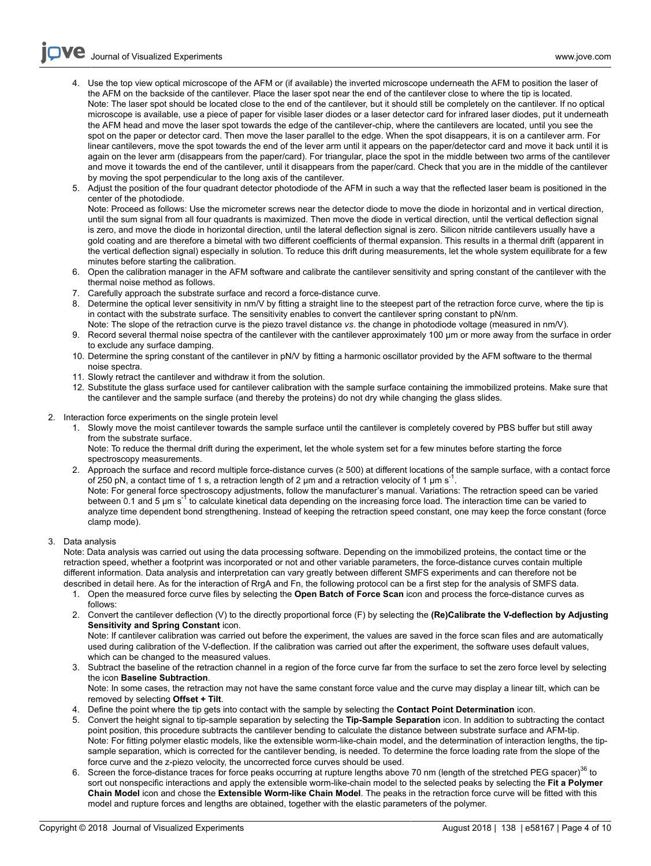**Ove** Journal of Visualized [Experiments](https://www.jove.com) [www.jove.com](https://www.jove.com)

- 4. Use the top view optical microscope of the AFM or (if available) the inverted microscope underneath the AFM to position the laser of the AFM on the backside of the cantilever. Place the laser spot near the end of the cantilever close to where the tip is located. Note: The laser spot should be located close to the end of the cantilever, but it should still be completely on the cantilever. If no optical microscope is available, use a piece of paper for visible laser diodes or a laser detector card for infrared laser diodes, put it underneath the AFM head and move the laser spot towards the edge of the cantilever-chip, where the cantilevers are located, until you see the spot on the paper or detector card. Then move the laser parallel to the edge. When the spot disappears, it is on a cantilever arm. For linear cantilevers, move the spot towards the end of the lever arm until it appears on the paper/detector card and move it back until it is again on the lever arm (disappears from the paper/card). For triangular, place the spot in the middle between two arms of the cantilever and move it towards the end of the cantilever, until it disappears from the paper/card. Check that you are in the middle of the cantilever by moving the spot perpendicular to the long axis of the cantilever.
- 5. Adjust the position of the four quadrant detector photodiode of the AFM in such a way that the reflected laser beam is positioned in the center of the photodiode.

Note: Proceed as follows: Use the micrometer screws near the detector diode to move the diode in horizontal and in vertical direction, until the sum signal from all four quadrants is maximized. Then move the diode in vertical direction, until the vertical deflection signal is zero, and move the diode in horizontal direction, until the lateral deflection signal is zero. Silicon nitride cantilevers usually have a gold coating and are therefore a bimetal with two different coefficients of thermal expansion. This results in a thermal drift (apparent in the vertical deflection signal) especially in solution. To reduce this drift during measurements, let the whole system equilibrate for a few minutes before starting the calibration.

- 6. Open the calibration manager in the AFM software and calibrate the cantilever sensitivity and spring constant of the cantilever with the thermal noise method as follows.
- 7. Carefully approach the substrate surface and record a force-distance curve.
- 8. Determine the optical lever sensitivity in nm/V by fitting a straight line to the steepest part of the retraction force curve, where the tip is in contact with the substrate surface. The sensitivity enables to convert the cantilever spring constant to pN/nm.
- Note: The slope of the retraction curve is the piezo travel distance *vs*. the change in photodiode voltage (measured in nm/V). 9. Record several thermal noise spectra of the cantilever with the cantilever approximately 100 µm or more away from the surface in order
- to exclude any surface damping.
- 10. Determine the spring constant of the cantilever in pN/V by fitting a harmonic oscillator provided by the AFM software to the thermal noise spectra.
- 11. Slowly retract the cantilever and withdraw it from the solution.
- 12. Substitute the glass surface used for cantilever calibration with the sample surface containing the immobilized proteins. Make sure that the cantilever and the sample surface (and thereby the proteins) do not dry while changing the glass slides.

2. Interaction force experiments on the single protein level

1. Slowly move the moist cantilever towards the sample surface until the cantilever is completely covered by PBS buffer but still away from the substrate surface.

Note: To reduce the thermal drift during the experiment, let the whole system set for a few minutes before starting the force spectroscopy measurements.

2. Approach the surface and record multiple force-distance curves (≥ 500) at different locations of the sample surface, with a contact force of 250 pN, a contact time of 1 s, a retraction length of 2 µm and a retraction velocity of 1 µm s<sup>-1</sup>. Note: For general force spectroscopy adjustments, follow the manufacturer's manual. Variations: The retraction speed can be varied between 0.1 and 5 µm s<sup>-1</sup> to calculate kinetical data depending on the increasing force load. The interaction time can be varied to analyze time dependent bond strengthening. Instead of keeping the retraction speed constant, one may keep the force constant (force clamp mode).

## 3. Data analysis

Note: Data analysis was carried out using the data processing software. Depending on the immobilized proteins, the contact time or the retraction speed, whether a footprint was incorporated or not and other variable parameters, the force-distance curves contain multiple different information. Data analysis and interpretation can vary greatly between different SMFS experiments and can therefore not be described in detail here. As for the interaction of RrgA and Fn, the following protocol can be a first step for the analysis of SMFS data.

- 1. Open the measured force curve files by selecting the **Open Batch of Force Scan** icon and process the force-distance curves as follows:
- 2. Convert the cantilever deflection (V) to the directly proportional force (F) by selecting the **(Re)Calibrate the V-deflection by Adjusting Sensitivity and Spring Constant** icon.

Note: If cantilever calibration was carried out before the experiment, the values are saved in the force scan files and are automatically used during calibration of the V-deflection. If the calibration was carried out after the experiment, the software uses default values, which can be changed to the measured values.

3. Subtract the baseline of the retraction channel in a region of the force curve far from the surface to set the zero force level by selecting the icon **Baseline Subtraction**.

Note: In some cases, the retraction may not have the same constant force value and the curve may display a linear tilt, which can be removed by selecting **Offset + Tilt**.

- 4. Define the point where the tip gets into contact with the sample by selecting the **Contact Point Determination** icon.
- 5. Convert the height signal to tip-sample separation by selecting the **Tip-Sample Separation** icon. In addition to subtracting the contact point position, this procedure subtracts the cantilever bending to calculate the distance between substrate surface and AFM-tip. Note: For fitting polymer elastic models, like the extensible worm-like-chain model, and the determination of interaction lengths, the tipsample separation, which is corrected for the cantilever bending, is needed. To determine the force loading rate from the slope of the force curve and the z-piezo velocity, the uncorrected force curves should be used.
- 6. Screen the force-distance traces for force peaks occurring at rupture lengths above 70 nm (length of the stretched PEG spacer)<sup>36</sup> to sort out nonspecific interactions and apply the extensible worm-like-chain model to the selected peaks by selecting the **Fit a Polymer Chain Model** icon and chose the **Extensible Worm-like Chain Model**. The peaks in the retraction force curve will be fitted with this model and rupture forces and lengths are obtained, together with the elastic parameters of the polymer.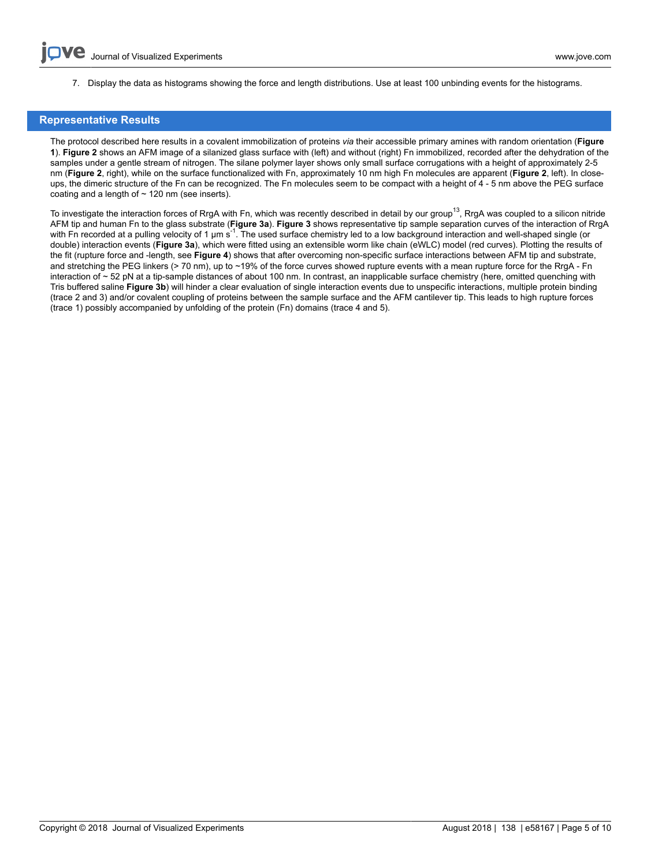7. Display the data as histograms showing the force and length distributions. Use at least 100 unbinding events for the histograms.

## **Representative Results**

The protocol described here results in a covalent immobilization of proteins *via* their accessible primary amines with random orientation (**Figure 1**). **Figure 2** shows an AFM image of a silanized glass surface with (left) and without (right) Fn immobilized, recorded after the dehydration of the samples under a gentle stream of nitrogen. The silane polymer layer shows only small surface corrugations with a height of approximately 2-5 nm (**Figure 2**, right), while on the surface functionalized with Fn, approximately 10 nm high Fn molecules are apparent (**Figure 2**, left). In closeups, the dimeric structure of the Fn can be recognized. The Fn molecules seem to be compact with a height of 4 - 5 nm above the PEG surface coating and a length of  $\sim$  120 nm (see inserts).

To investigate the interaction forces of RrgA with Fn, which was recently described in detail by our group<sup>13</sup>, RrgA was coupled to a silicon nitride AFM tip and human Fn to the glass substrate (**Figure 3a**). **Figure 3** shows representative tip sample separation curves of the interaction of RrgA with Fn recorded at a pulling velocity of 1 µm s<sup>-1</sup>. The used surface chemistry led to a low background interaction and well-shaped single (or double) interaction events (**Figure 3a**), which were fitted using an extensible worm like chain (eWLC) model (red curves). Plotting the results of the fit (rupture force and -length, see **Figure 4**) shows that after overcoming non-specific surface interactions between AFM tip and substrate, and stretching the PEG linkers (> 70 nm), up to ~19% of the force curves showed rupture events with a mean rupture force for the RrgA - Fn interaction of ~ 52 pN at a tip-sample distances of about 100 nm. In contrast, an inapplicable surface chemistry (here, omitted quenching with Tris buffered saline **Figure 3b**) will hinder a clear evaluation of single interaction events due to unspecific interactions, multiple protein binding (trace 2 and 3) and/or covalent coupling of proteins between the sample surface and the AFM cantilever tip. This leads to high rupture forces (trace 1) possibly accompanied by unfolding of the protein (Fn) domains (trace 4 and 5).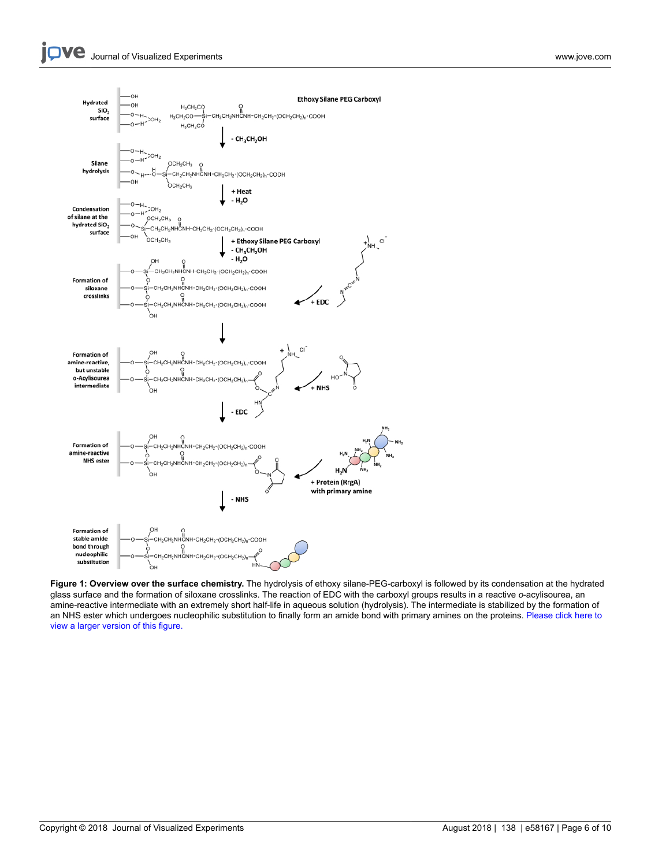

**Figure 1: Overview over the surface chemistry.** The hydrolysis of ethoxy silane-PEG-carboxyl is followed by its condensation at the hydrated glass surface and the formation of siloxane crosslinks. The reaction of EDC with the carboxyl groups results in a reactive *o*-acylisourea, an amine-reactive intermediate with an extremely short half-life in aqueous solution (hydrolysis). The intermediate is stabilized by the formation of an NHS ester which undergoes nucleophilic substitution to finally form an amide bond with primary amines on the proteins. [Please click here to](https://www.jove.com/files/ftp_upload/58167/58167fig1large.jpg) [view a larger version of this figure.](https://www.jove.com/files/ftp_upload/58167/58167fig1large.jpg)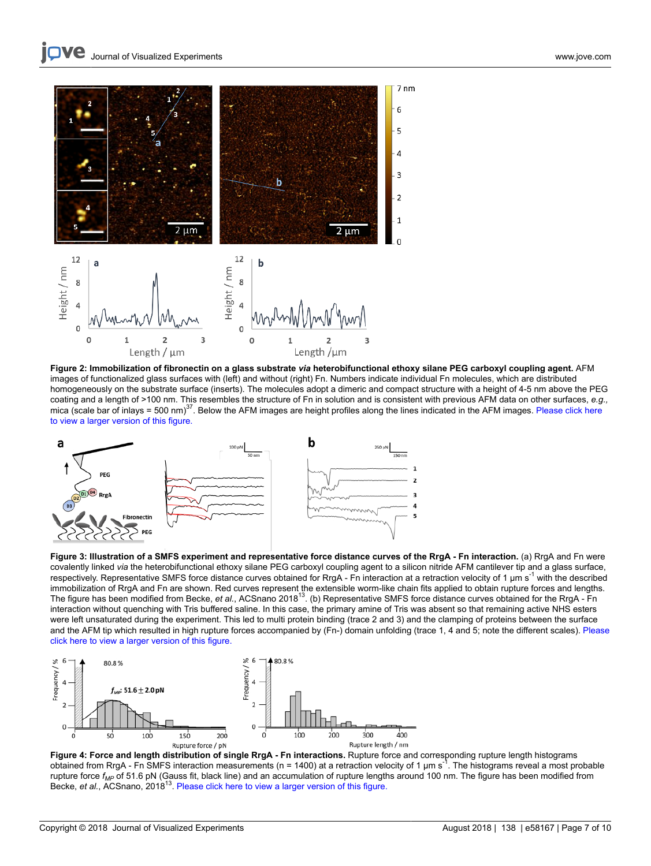

**Figure 2: Immobilization of fibronectin on a glass substrate** *via* **heterobifunctional ethoxy silane PEG carboxyl coupling agent.** AFM images of functionalized glass surfaces with (left) and without (right) Fn. Numbers indicate individual Fn molecules, which are distributed homogeneously on the substrate surface (inserts). The molecules adopt a dimeric and compact structure with a height of 4-5 nm above the PEG coating and a length of >100 nm. This resembles the structure of Fn in solution and is consistent with previous AFM data on other surfaces, *e.g.,* mica (scale bar of inlays = 500 nm) $37$ . Below the AFM images are height profiles along the lines indicated in the AFM images. [Please click here](https://www.jove.com/files/ftp_upload/58167/58167fig2large.jpg) [to view a larger version of this figure.](https://www.jove.com/files/ftp_upload/58167/58167fig2large.jpg)



Figure 3: Illustration of a SMFS experiment and representative force distance curves of the RrgA - Fn interaction. (a) RrgA and Fn were covalently linked *via* the heterobifunctional ethoxy silane PEG carboxyl coupling agent to a silicon nitride AFM cantilever tip and a glass surface, respectively. Representative SMFS force distance curves obtained for RrgA - Fn interaction at a retraction velocity of 1 µm s<sup>-1</sup> with the described immobilization of RrgA and Fn are shown. Red curves represent the extensible worm-like chain fits applied to obtain rupture forces and lengths. The figure has been modified from Becke, et al., ACSnano 2018<sup>13</sup>. (b) Representative SMFS force distance curves obtained for the RrgA - Fn interaction without quenching with Tris buffered saline. In this case, the primary amine of Tris was absent so that remaining active NHS esters were left unsaturated during the experiment. This led to multi protein binding (trace 2 and 3) and the clamping of proteins between the surface and the AFM tip which resulted in high rupture forces accompanied by (Fn-) domain unfolding (trace 1, 4 and 5; note the different scales). [Please](https://www.jove.com/files/ftp_upload/58167/58167fig3large.jpg) [click here to view a larger version of this figure.](https://www.jove.com/files/ftp_upload/58167/58167fig3large.jpg)



**Figure 4: Force and length distribution of single RrgA - Fn interactions.** Rupture force and corresponding rupture length histograms obtained from RrgA - Fn SMFS interaction measurements ( $n = 1400$ ) at a retraction velocity of 1  $\mu$ m s<sup>-1</sup>. The histograms reveal a most probable rupture force *f<sub>MP</sub>* of 51.6 pN (Gauss fit, black line) and an accumulation of rupture lengths around 100 nm. The figure has been modified from Becke, et al., ACSnano, 2018<sup>13</sup>. [Please click here to view a larger version of this figure.](https://www.jove.com/files/ftp_upload/58167/58167fig4large.jpg)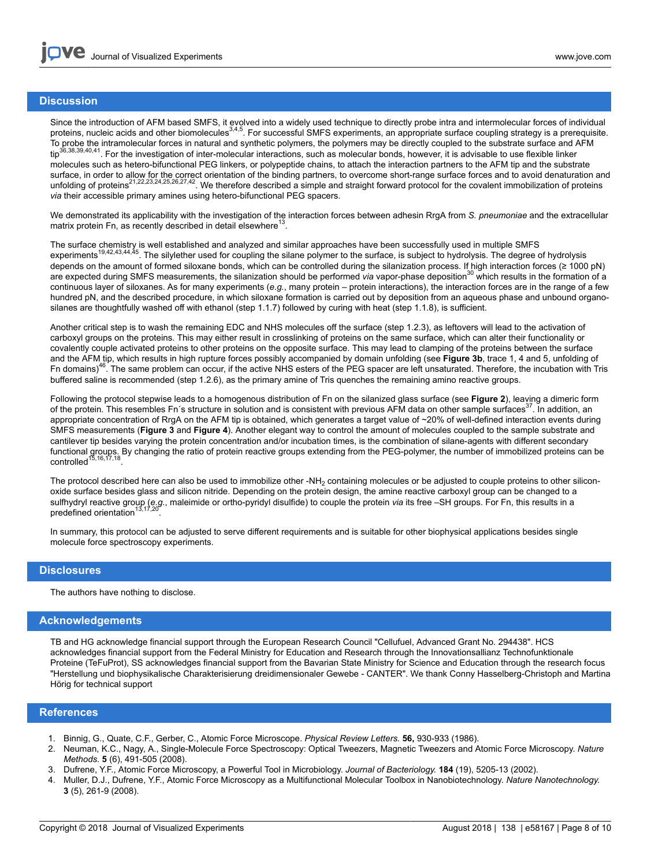### **Discussion**

Since the introduction of AFM based SMFS, it evolved into a widely used technique to directly probe intra and intermolecular forces of individual<br>proteins, nucleic acids and other biomolecules<sup>3,4,5</sup>. For successful SMFS e To probe the intramolecular forces in natural and synthetic polymers, the polymers may be directly coupled to the substrate surface and AFM tip<sup>36,38,39,40,41</sup>. For the investigation of inter-molecular interactions, such as molecular bonds, however, it is advisable to use flexible linker molecules such as hetero-bifunctional PEG linkers, or polypeptide chains, to attach the interaction partners to the AFM tip and the substrate surface, in order to allow for the correct orientation of the binding partners, to overcome short-range surface forces and to avoid denaturation and<br>unfolding of proteins<sup>21,22,23,24,25,26,27,42</sup>. We therefore described a *via* their accessible primary amines using hetero-bifunctional PEG spacers.

We demonstrated its applicability with the investigation of the interaction forces between adhesin RrgA from *S. pneumoniae* and the extracellular matrix protein Fn, as recently described in detail elsewhere<sup>13</sup> .

The surface chemistry is well established and analyzed and similar approaches have been successfully used in multiple SMFS experiments<sup>19,42,43,44,45</sup>. The silylether used for coupling the silane polymer to the surface, is subject to hydrolysis. The degree of hydrolysis depends on the amount of formed siloxane bonds, which can be controlled during the silanization process. If high interaction forces (≥ 1000 pN) are expected during SMFS measurements, the silanization should be performed *via* vapor-phase deposition<sup>30</sup> which results in the formation of a continuous layer of siloxanes. As for many experiments (*e.g.*, many protein – protein interactions), the interaction forces are in the range of a few hundred pN, and the described procedure, in which siloxane formation is carried out by deposition from an aqueous phase and unbound organosilanes are thoughtfully washed off with ethanol (step 1.1.7) followed by curing with heat (step 1.1.8), is sufficient.

Another critical step is to wash the remaining EDC and NHS molecules off the surface (step 1.2.3), as leftovers will lead to the activation of carboxyl groups on the proteins. This may either result in crosslinking of proteins on the same surface, which can alter their functionality or covalently couple activated proteins to other proteins on the opposite surface. This may lead to clamping of the proteins between the surface and the AFM tip, which results in high rupture forces possibly accompanied by domain unfolding (see **Figure 3b**, trace 1, 4 and 5, unfolding of Fn domains)<sup>46</sup>. The same problem can occur, if the active NHS esters of the PEG spacer are left unsaturated. Therefore, the incubation with Tris buffered saline is recommended (step 1.2.6), as the primary amine of Tris quenches the remaining amino reactive groups.

Following the protocol stepwise leads to a homogenous distribution of Fn on the silanized glass surface (see **Figure 2**), leaving a dimeric form of the protein. This resembles Fn´s structure in solution and is consistent with previous AFM data on other sample surfaces<sup>37</sup>. In addition, an appropriate concentration of RrgA on the AFM tip is obtained, which generates a target value of ~20% of well-defined interaction events during SMFS measurements (**Figure 3** and **Figure 4**). Another elegant way to control the amount of molecules coupled to the sample substrate and cantilever tip besides varying the protein concentration and/or incubation times, is the combination of silane-agents with different secondary functional groups. By changing the ratio of protein reactive groups extending from the PEG-polymer, the number of immobilized proteins can be<br>controlled <sup>15,16,17,18</sup>.

The protocol described here can also be used to immobilize other -NH<sub>2</sub> containing molecules or be adjusted to couple proteins to other siliconoxide surface besides glass and silicon nitride. Depending on the protein design, the amine reactive carboxyl group can be changed to a sulfhydryl reactive group (*e.g.*, maleimide or ortho-pyridyl disulfide) to couple the protein *via* its free –SH groups. For Fn, this results in a<br>predefined orientation<sup>13,17,20</sup>.

In summary, this protocol can be adjusted to serve different requirements and is suitable for other biophysical applications besides single molecule force spectroscopy experiments.

#### **Disclosures**

The authors have nothing to disclose.

#### **Acknowledgements**

TB and HG acknowledge financial support through the European Research Council "Cellufuel, Advanced Grant No. 294438". HCS acknowledges financial support from the Federal Ministry for Education and Research through the Innovationsallianz Technofunktionale Proteine (TeFuProt), SS acknowledges financial support from the Bavarian State Ministry for Science and Education through the research focus "Herstellung und biophysikalische Charakterisierung dreidimensionaler Gewebe - CANTER". We thank Conny Hasselberg-Christoph and Martina Hörig for technical support

### **References**

- 1. Binnig, G., Quate, C.F., Gerber, C., Atomic Force Microscope. *Physical Review Letters.* **56,** 930-933 (1986).
- 2. Neuman, K.C., Nagy, A., Single-Molecule Force Spectroscopy: Optical Tweezers, Magnetic Tweezers and Atomic Force Microscopy. *Nature Methods.* **5** (6), 491-505 (2008).
- 3. Dufrene, Y.F., Atomic Force Microscopy, a Powerful Tool in Microbiology. *Journal of Bacteriology.* **184** (19), 5205-13 (2002).
- 4. Muller, D.J., Dufrene, Y.F., Atomic Force Microscopy as a Multifunctional Molecular Toolbox in Nanobiotechnology. *Nature Nanotechnology.* **3** (5), 261-9 (2008).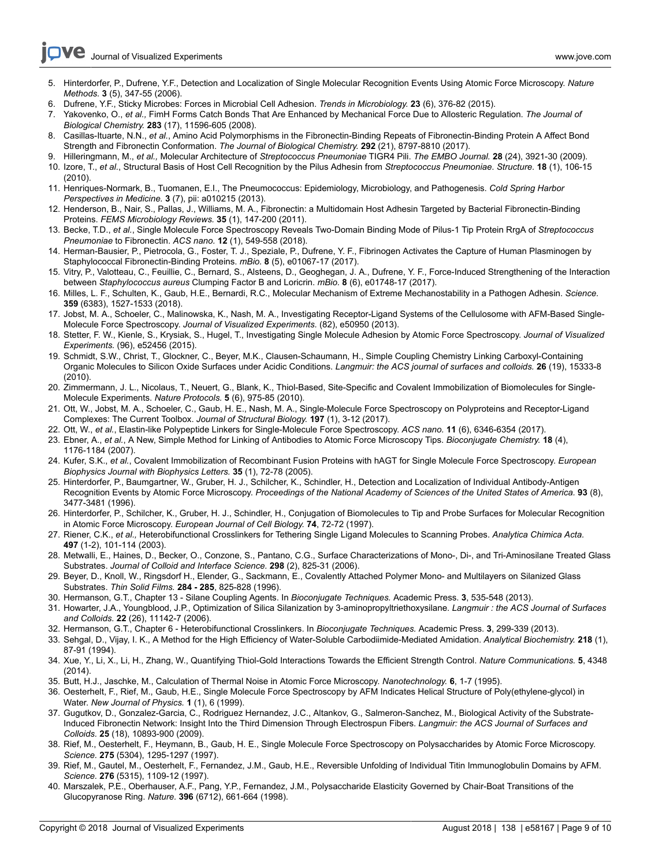- 5. Hinterdorfer, P., Dufrene, Y.F., Detection and Localization of Single Molecular Recognition Events Using Atomic Force Microscopy. *Nature Methods.* **3** (5), 347-55 (2006).
- 6. Dufrene, Y.F., Sticky Microbes: Forces in Microbial Cell Adhesion. *Trends in Microbiology.* **23** (6), 376-82 (2015).
- 7. Yakovenko, O., *et al.,* FimH Forms Catch Bonds That Are Enhanced by Mechanical Force Due to Allosteric Regulation. *The Journal of Biological Chemistry.* **283** (17), 11596-605 (2008).
- 8. Casillas-Ituarte, N.N., *et al.*, Amino Acid Polymorphisms in the Fibronectin-Binding Repeats of Fibronectin-Binding Protein A Affect Bond Strength and Fibronectin Conformation. *The Journal of Biological Chemistry.* **292** (21), 8797-8810 (2017).
- 9. Hilleringmann, M., *et al.,* Molecular Architecture of *Streptococcus Pneumoniae* TIGR4 Pili. *The EMBO Journal.* **28** (24), 3921-30 (2009).
- 10. Izore, T., *et al.*, Structural Basis of Host Cell Recognition by the Pilus Adhesin from *Streptococcus Pneumoniae*. *Structure.* **18** (1), 106-15 (2010).
- 11. Henriques-Normark, B., Tuomanen, E.I., The Pneumococcus: Epidemiology, Microbiology, and Pathogenesis. *Cold Spring Harbor Perspectives in Medicine.* **3** (7), pii: a010215 (2013).
- 12. Henderson, B., Nair, S., Pallas, J., Williams, M. A., Fibronectin: a Multidomain Host Adhesin Targeted by Bacterial Fibronectin-Binding Proteins. *FEMS Microbiology Reviews.* **35** (1), 147-200 (2011).
- 13. Becke, T.D., *et al.*, Single Molecule Force Spectroscopy Reveals Two-Domain Binding Mode of Pilus-1 Tip Protein RrgA of *Streptococcus Pneumoniae* to Fibronectin. *ACS nano.* **12** (1), 549-558 (2018).
- 14. Herman-Bausier, P., Pietrocola, G., Foster, T. J., Speziale, P., Dufrene, Y. F., Fibrinogen Activates the Capture of Human Plasminogen by Staphylococcal Fibronectin-Binding Proteins. *mBio.* **8** (5), e01067-17 (2017).
- 15. Vitry, P., Valotteau, C., Feuillie, C., Bernard, S., Alsteens, D., Geoghegan, J. A., Dufrene, Y. F., Force-Induced Strengthening of the Interaction between *Staphylococcus aureus* Clumping Factor B and Loricrin. *mBio.* **8** (6), e01748-17 (2017).
- 16. Milles, L. F., Schulten, K., Gaub, H.E., Bernardi, R.C., Molecular Mechanism of Extreme Mechanostability in a Pathogen Adhesin. *Science.* **359** (6383), 1527-1533 (2018).
- 17. Jobst, M. A., Schoeler, C., Malinowska, K., Nash, M. A., Investigating Receptor-Ligand Systems of the Cellulosome with AFM-Based Single-Molecule Force Spectroscopy. *Journal of Visualized Experiments.* (82), e50950 (2013).
- 18. Stetter, F. W., Kienle, S., Krysiak, S., Hugel, T., Investigating Single Molecule Adhesion by Atomic Force Spectroscopy. *Journal of Visualized Experiments.* (96), e52456 (2015).
- 19. Schmidt, S.W., Christ, T., Glockner, C., Beyer, M.K., Clausen-Schaumann, H., Simple Coupling Chemistry Linking Carboxyl-Containing Organic Molecules to Silicon Oxide Surfaces under Acidic Conditions. *Langmuir: the ACS journal of surfaces and colloids.* **26** (19), 15333-8 (2010).
- 20. Zimmermann, J. L., Nicolaus, T., Neuert, G., Blank, K., Thiol-Based, Site-Specific and Covalent Immobilization of Biomolecules for Single-Molecule Experiments. *Nature Protocols.* **5** (6), 975-85 (2010).
- 21. Ott, W., Jobst, M. A., Schoeler, C., Gaub, H. E., Nash, M. A., Single-Molecule Force Spectroscopy on Polyproteins and Receptor-Ligand Complexes: The Current Toolbox. *Journal of Structural Biology.* **197** (1), 3-12 (2017).
- 22. Ott, W., *et al.*, Elastin-like Polypeptide Linkers for Single-Molecule Force Spectroscopy. *ACS nano.* **11** (6), 6346-6354 (2017).
- 23. Ebner, A., *et al.*, A New, Simple Method for Linking of Antibodies to Atomic Force Microscopy Tips. *Bioconjugate Chemistry.* **18** (4), 1176-1184 (2007).
- 24. Kufer, S.K., *et al.*, Covalent Immobilization of Recombinant Fusion Proteins with hAGT for Single Molecule Force Spectroscopy. *European Biophysics Journal with Biophysics Letters.* **35** (1), 72-78 (2005).
- 25. Hinterdorfer, P., Baumgartner, W., Gruber, H. J., Schilcher, K., Schindler, H., Detection and Localization of Individual Antibody-Antigen Recognition Events by Atomic Force Microscopy. *Proceedings of the National Academy of Sciences of the United States of America.* **93** (8), 3477-3481 (1996).
- 26. Hinterdorfer, P., Schilcher, K., Gruber, H. J., Schindler, H., Conjugation of Biomolecules to Tip and Probe Surfaces for Molecular Recognition in Atomic Force Microscopy. *European Journal of Cell Biology.* **74**, 72-72 (1997).
- 27. Riener, C.K., *et al.,* Heterobifunctional Crosslinkers for Tethering Single Ligand Molecules to Scanning Probes. *Analytica Chimica Acta.* **497** (1-2), 101-114 (2003).
- 28. Metwalli, E., Haines, D., Becker, O., Conzone, S., Pantano, C.G., Surface Characterizations of Mono-, Di-, and Tri-Aminosilane Treated Glass Substrates. *Journal of Colloid and Interface Science.* **298** (2), 825-31 (2006).
- 29. Beyer, D., Knoll, W., Ringsdorf H., Elender, G., Sackmann, E., Covalently Attached Polymer Mono- and Multilayers on Silanized Glass Substrates. *Thin Solid Films.* **284 - 285**, 825-828 (1996).
- 30. Hermanson, G.T., Chapter 13 Silane Coupling Agents. In *Bioconjugate Techniques.* Academic Press. **3**, 535-548 (2013).
- 31. Howarter, J.A., Youngblood, J.P., Optimization of Silica Silanization by 3-aminopropyltriethoxysilane. *Langmuir : the ACS Journal of Surfaces and Colloids.* **22** (26), 11142-7 (2006).
- 32. Hermanson, G.T., Chapter 6 Heterobifunctional Crosslinkers. In *Bioconjugate Techniques.* Academic Press. **3**, 299-339 (2013).
- 33. Sehgal, D., Vijay, I. K., A Method for the High Efficiency of Water-Soluble Carbodiimide-Mediated Amidation. *Analytical Biochemistry.* **218** (1), 87-91 (1994).
- 34. Xue, Y., Li, X., Li, H., Zhang, W., Quantifying Thiol-Gold Interactions Towards the Efficient Strength Control. *Nature Communications.* **5**, 4348 (2014).
- 35. Butt, H.J., Jaschke, M., Calculation of Thermal Noise in Atomic Force Microscopy. *Nanotechnology.* **6**, 1-7 (1995).
- 36. Oesterhelt, F., Rief, M., Gaub, H.E., Single Molecule Force Spectroscopy by AFM Indicates Helical Structure of Poly(ethylene-glycol) in Water. *New Journal of Physics.* **1** (1), 6 (1999).
- 37. Gugutkov, D., Gonzalez-Garcia, C., Rodriguez Hernandez, J.C., Altankov, G., Salmeron-Sanchez, M., Biological Activity of the Substrate-Induced Fibronectin Network: Insight Into the Third Dimension Through Electrospun Fibers. *Langmuir: the ACS Journal of Surfaces and Colloids.* **25** (18), 10893-900 (2009).
- 38. Rief, M., Oesterhelt, F., Heymann, B., Gaub, H. E., Single Molecule Force Spectroscopy on Polysaccharides by Atomic Force Microscopy. *Science.* **275** (5304), 1295-1297 (1997).
- 39. Rief, M., Gautel, M., Oesterhelt, F., Fernandez, J.M., Gaub, H.E., Reversible Unfolding of Individual Titin Immunoglobulin Domains by AFM. *Science.* **276** (5315), 1109-12 (1997).
- 40. Marszalek, P.E., Oberhauser, A.F., Pang, Y.P., Fernandez, J.M., Polysaccharide Elasticity Governed by Chair-Boat Transitions of the Glucopyranose Ring. *Nature.* **396** (6712), 661-664 (1998).